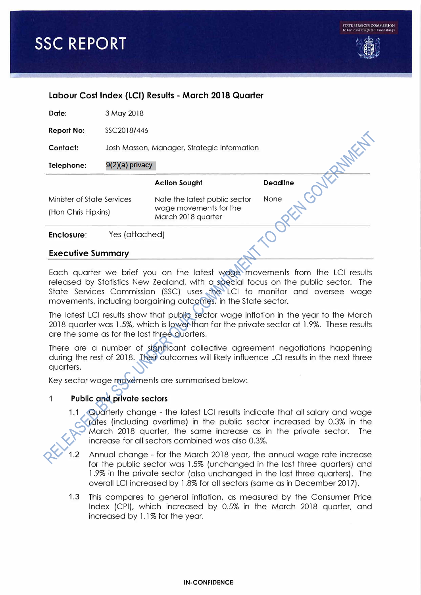

# **Labour Cost Index (LCI) Results - March 2018 Quarter**

| Date:                      | 3 May 2018        |                                              |                 |
|----------------------------|-------------------|----------------------------------------------|-----------------|
| <b>Report No:</b>          | SSC2018/446       |                                              |                 |
| Contact:                   |                   | Josh Masson, Manager, Strategic Information  |                 |
| Telephone:                 | $9(2)(a)$ privacy |                                              |                 |
|                            |                   | <b>Action Sought</b>                         | <b>Deadline</b> |
| Minister of State Services |                   | Note the latest public sector                | None            |
| (Hon Chris Hipkins)        |                   | wage movements for the<br>March 2018 quarter |                 |
| Enclosure:                 | Yes (attached)    |                                              |                 |
|                            |                   |                                              |                 |

## **Executive Summary**

Each quarter we brief you on the latest wage movements from the LCI results released by Statistics New Zealand, with a special focus on the public sector. The State Services Commission (SSC) uses the LCI to monitor and oversee wage movements, including bargaining outcomes, in the State sector.

The latest LCI results show that public sector wage inflation in the year to the March 2018 quarter was 1.5%, which is lower than for the private sector at 1.9%. These results are the same as for the last three quarters.

There are a number of significant collective agreement negotiations happening during the rest of 2018. Their outcomes will likely influence LCI results in the next three quarters.

Key sector wage movements are summarised below:

# 1 **Public and private sectors**

1.1 Quarterly change - the latest LCI results indicate that all salary and wage rates (including overtime) in the public sector increased by 0.3% in the March 2018 quarter, the same increase as in the private sector. The increase for all sectors combined was also 0.3%.

1.2 Annual change - for the March 2018 year, the annual wage rate increase for the public sector was 1.5% (unchanged in the last three quarters) and 1 .9% in the private sector (also unchanged in the last three quarters). The overall LCI increased by 1.8% for all sectors (same as in December 2017).

1.3 This compares to general inflation, as measured by the Consumer Price Index (CPI), which increased by 0.5% in the March 2018 quarter, and increased by 1.1% for the year.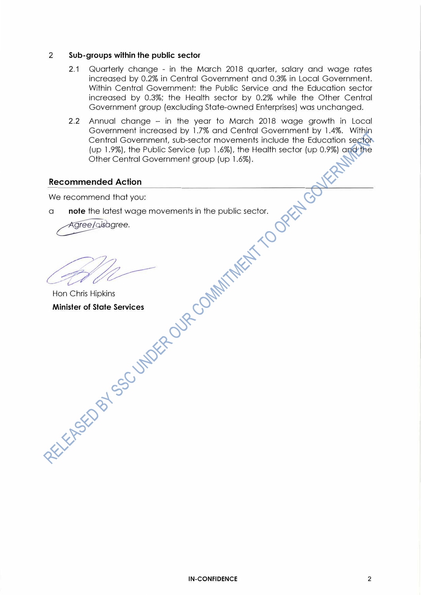## **2 Sub-groups within the public sector**

- 2.1 Quarterly change in the March 2018 quarter, salary and wage rates increased by 0.2% in Central Government and 0.3% in Local Government. Within Central Government: the Public Service and the Education sector increased by 0.3%; the Health sector by 0.2% while the Other Central Government group (excluding State-owned Enterprises) was unchanged.
- 2.2 Annual change in the year to March 2018 wage growth in Local Government increased by 1.7% and Central Government by 1 .4%. Within Central Government, sub-sector movements include the Education sector (up 1.9%), the Public Service (up 1.6%), the Health sector (up 0.9%) and the Other Central Government group (up 1.6%).

## **Recommended Action**

We recommend that you:

a **note** the latest wage movements in the public sector.

Agree/gisa gree.

Hon Chris Hipkins **Minister of State Services**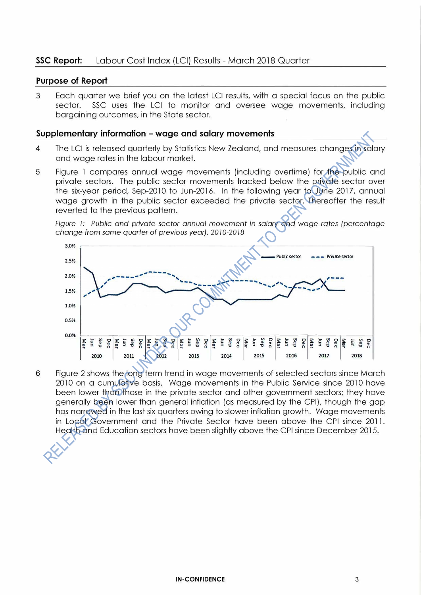# **SSC Report:** Labour Cost Index (LCI) Results - March 2018 Quarter

### **Purpose of Report**

3 Each quarter we brief you on the latest LCI results, with a special focus on the public SSC uses the LCI to monitor and oversee wage movements, including bargaining outcomes, in the State sector.

#### **Supplementary information - wage and salary movements**

- 4 The LCI is released quarterly by Statistics New Zealand, and measures changes in salary and wage rates in the labour market.
- 5 Figure 1 compares annual wage movements (including overtime) for the public and private sectors. The public sector movements tracked below the private sector over the six-year period, Sep-2010 to Jun-2016. In the following year to June 2017, annual wage growth in the public sector exceeded the private sector. Thereafter the result reverted to the previous pattern.

*Figure 1: Public and private sector annual movement in salary and wage rates (percentage change from same quarter of previous year), 2010-2018* 



6 Figure 2 shows the long term trend in wage movements of selected sectors since March 2010 on a cumulative basis. Wage movements in the Public Service since 2010 have been lower than those in the private sector and other government sectors; they have generally been lower than general inflation (as measured by the CPI), though the gap has narrowed in the last six quarters owing to slower inflation growth. Wage movements in Local Government and the Private Sector have been above the CPI since 2011. Health and Education sectors have been slightly above the CPI since December 2015.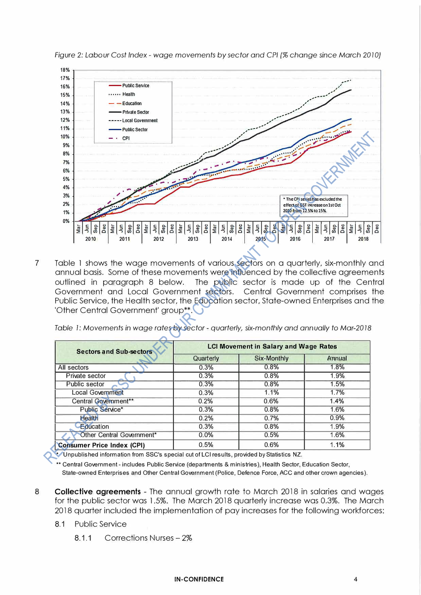

*Figure 2: Labour Cost Index* - *wage movements by sector and CPI{% change since March 2010)*

7 Table 1 shows the wage movements of various sectors on a quarterly, six-monthly and annual basis. Some of these movements were influenced by the collective agreements outlined in paragraph 8 below. The public sector is made up of the Central Government and Local Government sectors. Central Government comprises the Public Service, the Health sector, the Education sector, State-owned Enterprises and the 'Other Central Government' group\*\*.

*Table* I: *Movements in wage rates by sector* - *quarterly, six-monthly and annually to Mar-2018*

| <b>Sectors and Sub-sectors</b>    | <b>LCI Movement in Salary and Wage Rates</b> |             |        |  |
|-----------------------------------|----------------------------------------------|-------------|--------|--|
|                                   | Quarterly                                    | Six-Monthly | Annual |  |
| All sectors                       | 0.3%                                         | 0.8%        | 1.8%   |  |
| Private sector                    | 0.3%                                         | 0.8%        | 1.9%   |  |
| Public sector                     | 0.3%                                         | 0.8%        | 1.5%   |  |
| <b>Local Government</b>           | 0.3%                                         | 1.1%        | 1.7%   |  |
| Central Government**              | 0.2%                                         | 0.6%        | 1.4%   |  |
| <b>Public Service*</b>            | 0.3%                                         | 0.8%        | 1.6%   |  |
| Health                            | 0.2%                                         | 0.7%        | 0.9%   |  |
| Education                         | 0.3%                                         | 0.8%        | 1.9%   |  |
| Other Central Government*         | 0.0%                                         | 0.5%        | 1.6%   |  |
| <b>Consumer Price Index (CPI)</b> | 0.5%                                         | 0.6%        | 1.1%   |  |

\* Unpublished information from SSC's special cut of LCI results, provided by Statistics NZ.

\*\* Central Government- includes Public Service (departments & ministries), Health Sector, Education Sector, State-owned Enterprises and Other Central Government (Police, Defence Force, ACC and other crown agencies).

- 8 **Collective agreements**  The annual growth rate to March 2018 in salaries and wages for the public sector was 1.5%. The March 2018 quarterly increase was 0.3%. The March 2018 quarter included the implementation of pay increases for the following workforces:
	- 8.1 Public Service
		- 8.1.1 Corrections Nurses 2%

#### **IN-CONFIDENCE** 4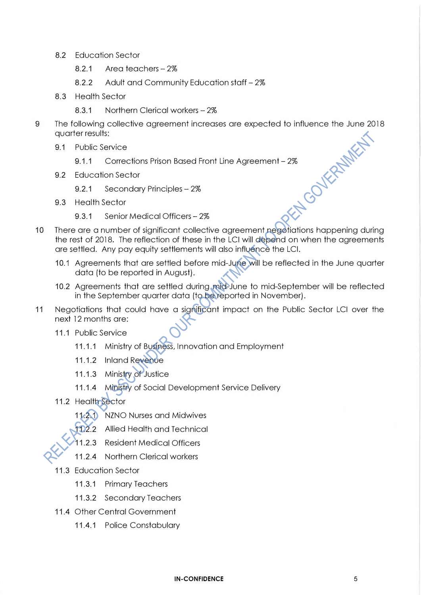- 8.2 Education Sector
	- 8.2.1 Area teachers 2%
	- 8.2.2 Adult and Community Education staff 2%
- 8.3 Health Sector
	- 8.3.1 Northern Clerical workers 2%
- 9 The following collective agreement increases are expected to influence the June 2018 quarter results: 9.1.1 Corrections Prison Based Front Line Agreement – 2%<br>Education Sector<br>9.2.1 Secondary Principles – 2%<br>Health Sector<br>9.3.1 Seniz
	- 9.1 Public Service
		-
	- 9.2 Education Sector
		- 9.2.1 Secondary Principles 2%
	- 9.3 Health Sector
		- 9.3.1 Senior Medical Officers 2%
- 10 There are a number of significant collective agreement negotiations happening during the rest of 2018. The reflection of these in the LCI will depend on when the agreements are settled. Any pay equity settlements will also influence the LCI.
	- 10.1 Agreements that are settled before mid-June will be reflected in the June quarter data (to be reported in August).
	- 10.2 Agreements that are settled during mid-June to mid-September will be reflected in the September quarter data (to be reported in November).
- 11 Negotiations that could have a significant impact on the Public Sector LCI over the next 12 months are:
	- 11.1 Public Service
		- 11.1.1 Ministry of Business, Innovation and Employment
		- 11.1.2 Inland Revenue
		- 11.1.3 Ministry of Justice
		- 11.1.4 Ministry of Social Development Service Delivery
	- 11.2 Health Sector
		- 11.2.1 NZNO Nurses and Midwives
		- 11.2.2 Allied Health and Technical
		- 11.2.3 Resident Medical Officers
		- 11.2.4 Northern Clerical workers
	- 11.3 Education Sector
		- 11.3.1 Primary Teachers
		- 11.3.2 Secondary Teachers
	- 11.4 Other Central Government
		- 11.4.1 Police Constabulary